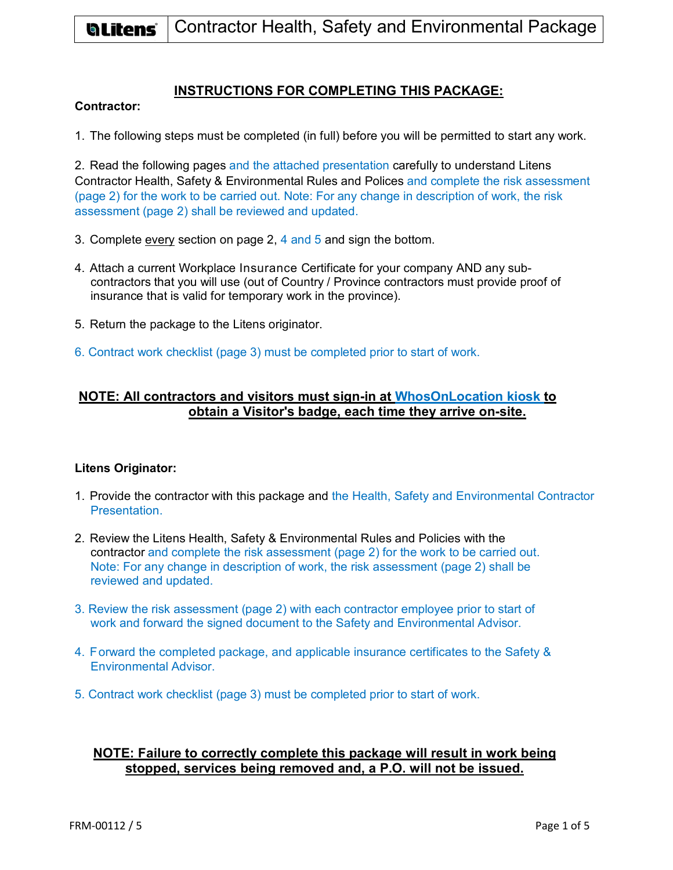

## **INSTRUCTIONS FOR COMPLETING THIS PACKAGE:**

## **Contractor:**

1. The following steps must be completed (in full) before you will be permitted to start any work.

2. Read the following pages and the attached presentation carefully to understand Litens Contractor Health, Safety & Environmental Rules and Polices and complete the risk assessment (page 2) for the work to be carried out. Note: For any change in description of work, the risk assessment (page 2) shall be reviewed and updated.

- 3. Complete every section on page 2, 4 and 5 and sign the bottom.
- 4. Attach a current Workplace Insurance Certificate for your company AND any subcontractors that you will use (out of Country / Province contractors must provide proof of insurance that is valid for temporary work in the province).
- 5. Return the package to the Litens originator.
- 6. Contract work checklist (page 3) must be completed prior to start of work.

# **NOTE: All contractors and visitors must sign-in at WhosOnLocation kiosk to obtain a Visitor's badge, each time they arrive on-site.**

#### **Litens Originator:**

- 1. Provide the contractor with this package and the Health, Safety and Environmental Contractor Presentation.
- 2. Review the Litens Health, Safety & Environmental Rules and Policies with the contractor and complete the risk assessment (page 2) for the work to be carried out. Note: For any change in description of work, the risk assessment (page 2) shall be reviewed and updated.
- 3. Review the risk assessment (page 2) with each contractor employee prior to start of work and forward the signed document to the Safety and Environmental Advisor.
- 4. Forward the completed package, and applicable insurance certificates to the Safety & Environmental Advisor.
- 5. Contract work checklist (page 3) must be completed prior to start of work.

## **NOTE: Failure to correctly complete this package will result in work being stopped, services being removed and, a P.O. will not be issued.**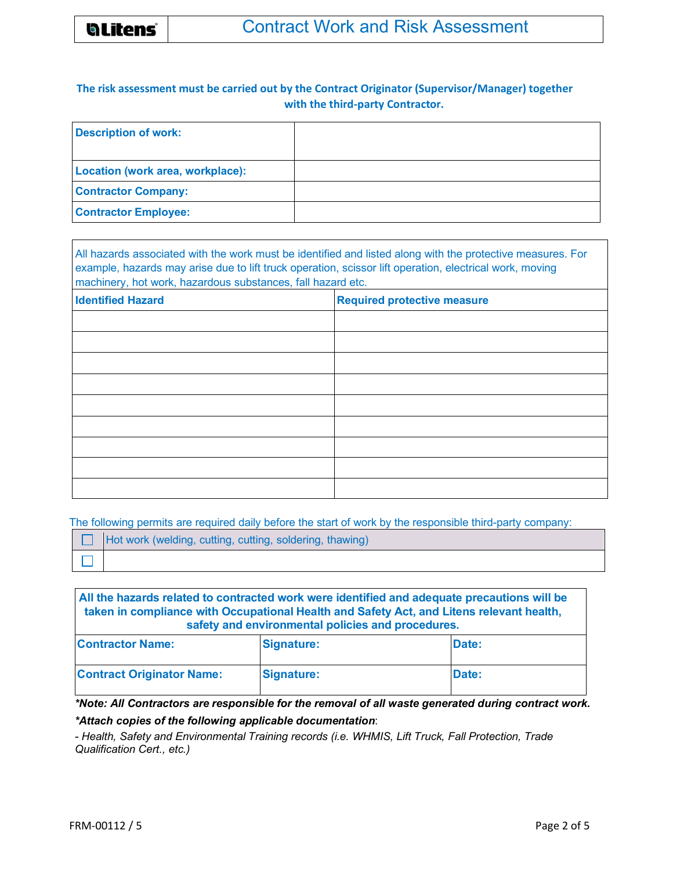

# **The risk assessment must be carried out by the Contract Originator (Supervisor/Manager) together with the third-party Contractor.**

| <b>Description of work:</b>      |  |
|----------------------------------|--|
|                                  |  |
| Location (work area, workplace): |  |
| <b>Contractor Company:</b>       |  |
| <b>Contractor Employee:</b>      |  |

All hazards associated with the work must be identified and listed along with the protective measures. For example, hazards may arise due to lift truck operation, scissor lift operation, electrical work, moving machinery, hot work, hazardous substances, fall hazard etc.

| <b>Identified Hazard</b> | <b>Required protective measure</b> |
|--------------------------|------------------------------------|
|                          |                                    |
|                          |                                    |
|                          |                                    |
|                          |                                    |
|                          |                                    |
|                          |                                    |
|                          |                                    |
|                          |                                    |
|                          |                                    |

The following permits are required daily before the start of work by the responsible third-party company:

| Hot work (welding, cutting, cutting, soldering, thawing) |
|----------------------------------------------------------|
|                                                          |

**All the hazards related to contracted work were identified and adequate precautions will be taken in compliance with Occupational Health and Safety Act, and Litens relevant health, safety and environmental policies and procedures. Contractor Name: Signature: Date: Date:** 

| <b>IContractor Name:</b>         | <b>Signature:</b> | <b>Date:</b> |
|----------------------------------|-------------------|--------------|
| <b>Contract Originator Name:</b> | Signature:        | Date:        |

*\*Note: All Contractors are responsible for the removal of all waste generated during contract work. \*Attach copies of the following applicable documentation*:

*- Health, Safety and Environmental Training records (i.e. WHMIS, Lift Truck, Fall Protection, Trade Qualification Cert., etc.)*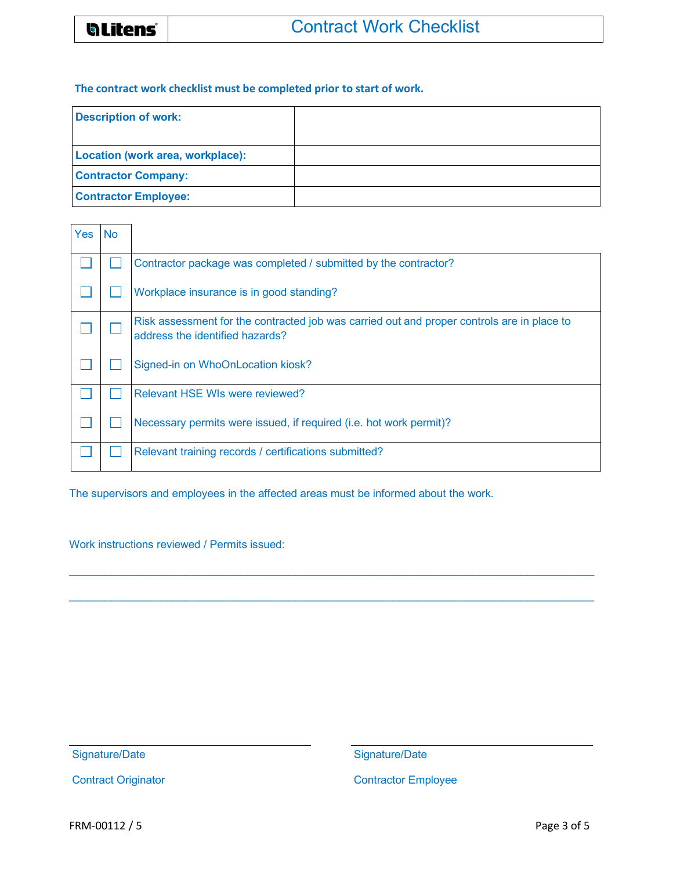### **The contract work checklist must be completed prior to start of work.**

| <b>Description of work:</b>      |  |
|----------------------------------|--|
| Location (work area, workplace): |  |
| <b>Contractor Company:</b>       |  |
| <b>Contractor Employee:</b>      |  |

| Yes | <b>No</b> |                                                                                                                               |
|-----|-----------|-------------------------------------------------------------------------------------------------------------------------------|
|     |           | Contractor package was completed / submitted by the contractor?                                                               |
|     |           | Workplace insurance is in good standing?                                                                                      |
|     |           | Risk assessment for the contracted job was carried out and proper controls are in place to<br>address the identified hazards? |
|     |           | Signed-in on WhoOnLocation kiosk?                                                                                             |
|     |           | Relevant HSE WIs were reviewed?                                                                                               |
|     |           | Necessary permits were issued, if required (i.e. hot work permit)?                                                            |
|     |           | Relevant training records / certifications submitted?                                                                         |

The supervisors and employees in the affected areas must be informed about the work.

Work instructions reviewed / Permits issued:

Signature/Date

Signature/Date

Contract Originator

Contractor Employee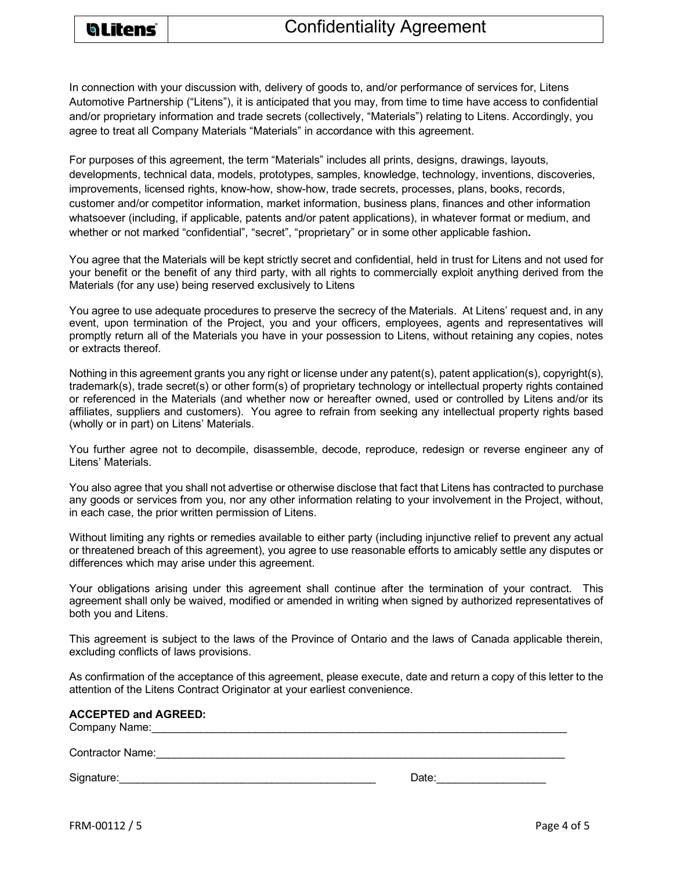

In connection with your discussion with, delivery of goods to, and/or performance of services for, Litens Automotive Partnership ("Litens"), it is anticipated that you may, from time to time have access to confidential and/or proprietary information and trade secrets (collectively, "Materials") relating to Litens. Accordingly, you agree to treat all Company Materials "Materials" in accordance with this agreement.

For purposes of this agreement, the term "Materials" includes all prints, designs, drawings, layouts, developments, technical data, models, prototypes, samples, knowledge, technology, inventions, discoveries, improvements, licensed rights, know-how, show-how, trade secrets, processes, plans, books, records, customer and/or competitor information, market information, business plans, finances and other information whatsoever (including, if applicable, patents and/or patent applications), in whatever format or medium, and whether or not marked "confidential", "secret", "proprietary" or in some other applicable fashion**.**

You agree that the Materials will be kept strictly secret and confidential, held in trust for Litens and not used for your benefit or the benefit of any third party, with all rights to commercially exploit anything derived from the Materials (for any use) being reserved exclusively to Litens

You agree to use adequate procedures to preserve the secrecy of the Materials. At Litens' request and, in any event, upon termination of the Project, you and your officers, employees, agents and representatives will promptly return all of the Materials you have in your possession to Litens, without retaining any copies, notes or extracts thereof.

Nothing in this agreement grants you any right or license under any patent(s), patent application(s), copyright(s), trademark(s), trade secret(s) or other form(s) of proprietary technology or intellectual property rights contained or referenced in the Materials (and whether now or hereafter owned, used or controlled by Litens and/or its affiliates, suppliers and customers). You agree to refrain from seeking any intellectual property rights based (wholly or in part) on Litens' Materials.

You further agree not to decompile, disassemble, decode, reproduce, redesign or reverse engineer any of Litens' Materials.

You also agree that you shall not advertise or otherwise disclose that fact that Litens has contracted to purchase any goods or services from you, nor any other information relating to your involvement in the Project, without, in each case, the prior written permission of Litens.

Without limiting any rights or remedies available to either party (including injunctive relief to prevent any actual or threatened breach of this agreement), you agree to use reasonable efforts to amicably settle any disputes or differences which may arise under this agreement.

Your obligations arising under this agreement shall continue after the termination of your contract. This agreement shall only be waived, modified or amended in writing when signed by authorized representatives of both you and Litens.

This agreement is subject to the laws of the Province of Ontario and the laws of Canada applicable therein, excluding conflicts of laws provisions.

As confirmation of the acceptance of this agreement, please execute, date and return a copy of this letter to the attention of the Litens Contract Originator at your earliest convenience.

| <b>ACCEPTED and AGREED:</b><br>Company Name: |       |
|----------------------------------------------|-------|
| <b>Contractor Name:</b>                      |       |
| Signature:                                   | Date: |